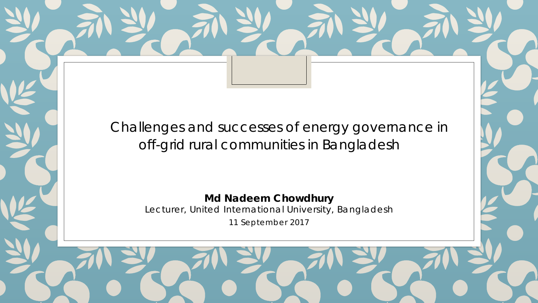Challenges and successes of energy governance in off-grid rural communities in Bangladesh

> **Md Nadeem Chowdhury** Lecturer, United International University, Bangladesh 11 September 2017

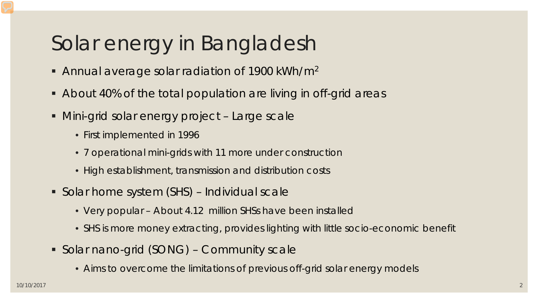# Solar energy in Bangladesh

- Annual average solar radiation of 1900 kWh/m<sup>2</sup>
- About 40% of the total population are living in off-grid areas
- Mini-grid solar energy project Large scale
	- First implemented in 1996
	- 7 operational mini-grids with 11 more under construction
	- High establishment, transmission and distribution costs
- Solar home system (SHS) Individual scale
	- Very popular About 4.12 million SHSs have been installed
	- SHS is more money extracting, provides lighting with little socio-economic benefit
- Solar nano-grid (SONG) Community scale
	- Aims to overcome the limitations of previous off-grid solar energy models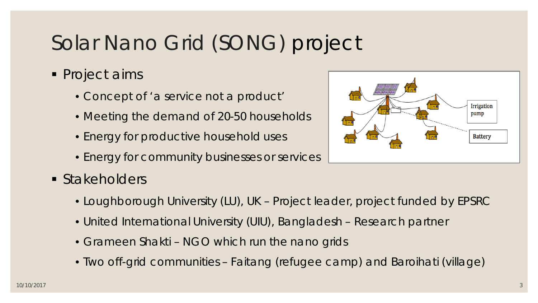# Solar Nano Grid (SONG) project

- **Project aims** 
	- Concept of 'a service not a product'
	- Meeting the demand of 20-50 households
	- Energy for productive household uses
	- Energy for community businesses or services
- **Stakeholders** 
	- Loughborough University (LU), UK Project leader, project funded by EPSRC
	- United International University (UIU), Bangladesh Research partner
	- Grameen Shakti NGO which run the nano grids
	- Two off-grid communities Faitang (refugee camp) and Baroihati (village)

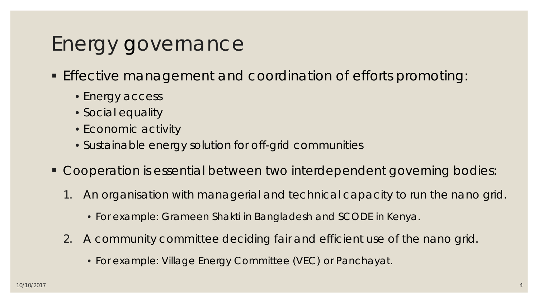## Energy governance

- **Effective management and coordination of efforts promoting:** 
	- Energy access
	- Social equality
	- Economic activity
	- Sustainable energy solution for off-grid communities
- Cooperation is essential between two interdependent governing bodies:
	- 1. An organisation with managerial and technical capacity to run the nano grid.
		- For example: Grameen Shakti in Bangladesh and SCODE in Kenya.
	- 2. A community committee deciding fair and efficient use of the nano grid.
		- For example: Village Energy Committee (VEC) or Panchayat.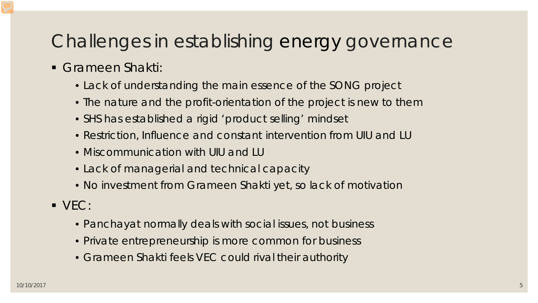#### Challenges in establishing energy governance

- Grameen Shakti:
	- Lack of understanding the main essence of the SONG project
	- The nature and the profit-orientation of the project is new to them
	- SHS has established a rigid 'product selling' mindset
	- Restriction, Influence and constant intervention from UIU and LU
	- Miscommunication with UIU and LU
	- Lack of managerial and technical capacity
	- No investment from Grameen Shakti yet, so lack of motivation
- VEC:
	- Panchayat normally deals with social issues, not business
	- Private entrepreneurship is more common for business
	- Grameen Shakti feels VEC could rival their authority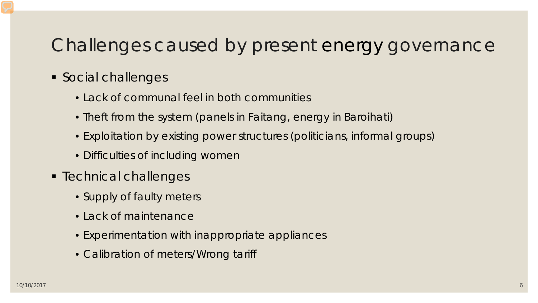#### Challenges caused by present energy governance

- **Social challenges** 
	- Lack of communal feel in both communities
	- Theft from the system (panels in Faitang, energy in Baroihati)
	- Exploitation by existing power structures (politicians, informal groups)
	- Difficulties of including women
- **F** Technical challenges
	- Supply of faulty meters
	- Lack of maintenance
	- Experimentation with inappropriate appliances
	- Calibration of meters/Wrong tariff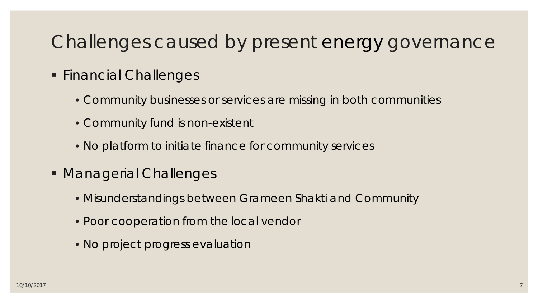#### Challenges caused by present energy governance

- **Financial Challenges** 
	- Community businesses or services are missing in both communities
	- Community fund is non-existent
	- No platform to initiate finance for community services
- Managerial Challenges
	- Misunderstandings between Grameen Shakti and Community
	- Poor cooperation from the local vendor
	- No project progress evaluation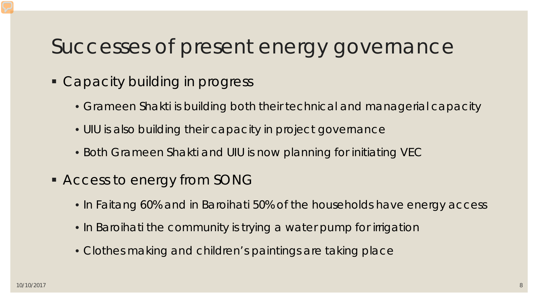### Successes of present energy governance

- Capacity building in progress
	- Grameen Shakti is building both their technical and managerial capacity
	- UIU is also building their capacity in project governance
	- Both Grameen Shakti and UIU is now planning for initiating VEC
- **Access to energy from SONG** 
	- In Faitang 60% and in Baroihati 50% of the households have energy access
	- In Baroihati the community is trying a water pump for irrigation
	- Clothes making and children's paintings are taking place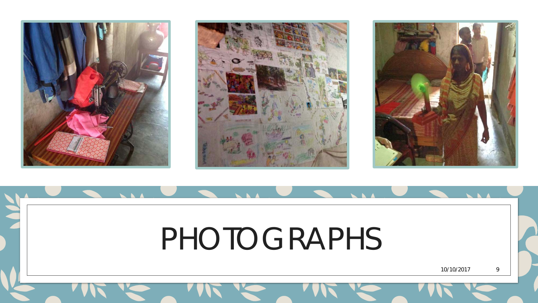





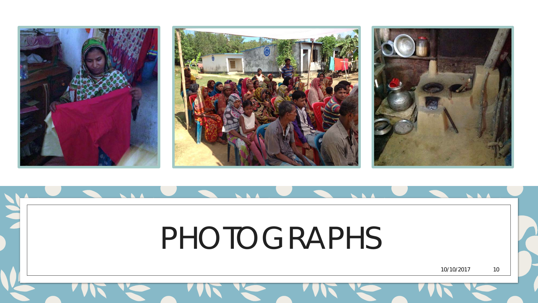

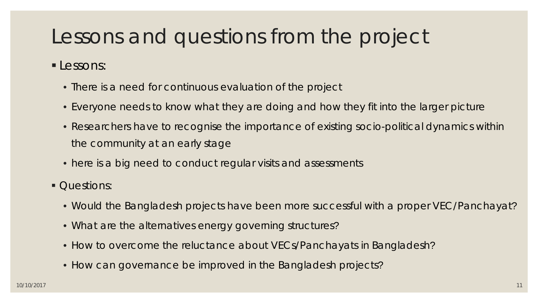## Lessons and questions from the project

Lessons:

- There is a need for continuous evaluation of the project
- Everyone needs to know what they are doing and how they fit into the larger picture
- Researchers have to recognise the importance of existing socio-political dynamics within the community at an early stage
- here is a big need to conduct regular visits and assessments
- Questions:
	- Would the Bangladesh projects have been more successful with a proper VEC/Panchayat?
	- What are the alternatives energy governing structures?
	- How to overcome the reluctance about VECs/Panchayats in Bangladesh?
	- How can governance be improved in the Bangladesh projects?